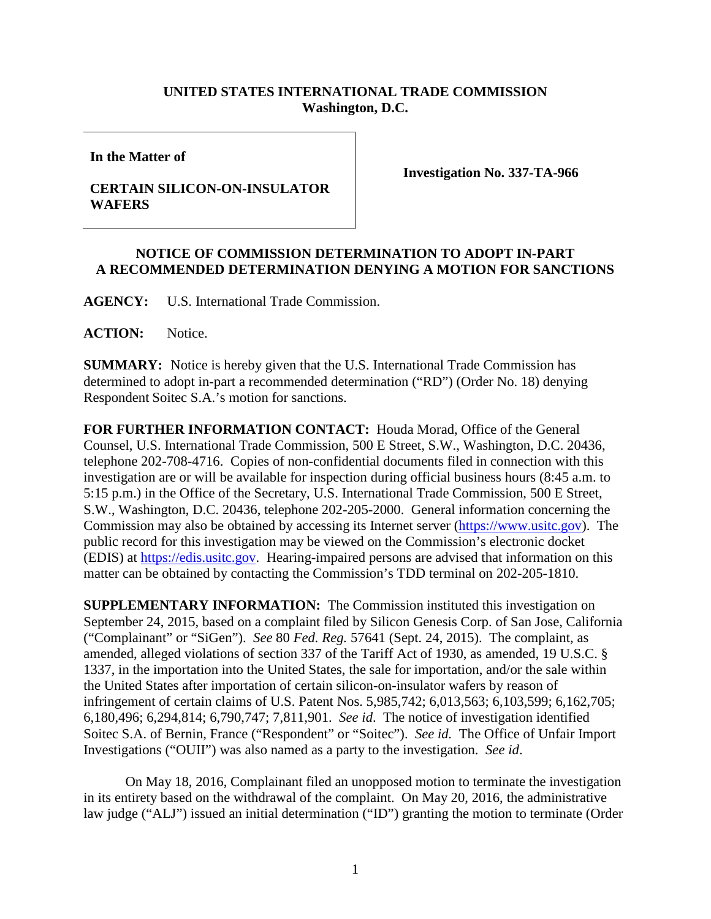## **UNITED STATES INTERNATIONAL TRADE COMMISSION Washington, D.C.**

**In the Matter of**

## **CERTAIN SILICON-ON-INSULATOR WAFERS**

**Investigation No. 337-TA-966**

## **NOTICE OF COMMISSION DETERMINATION TO ADOPT IN-PART A RECOMMENDED DETERMINATION DENYING A MOTION FOR SANCTIONS**

**AGENCY:** U.S. International Trade Commission.

**ACTION:** Notice.

**SUMMARY:** Notice is hereby given that the U.S. International Trade Commission has determined to adopt in-part a recommended determination ("RD") (Order No. 18) denying Respondent Soitec S.A.'s motion for sanctions.

**FOR FURTHER INFORMATION CONTACT:** Houda Morad, Office of the General Counsel, U.S. International Trade Commission, 500 E Street, S.W., Washington, D.C. 20436, telephone 202-708-4716. Copies of non-confidential documents filed in connection with this investigation are or will be available for inspection during official business hours (8:45 a.m. to 5:15 p.m.) in the Office of the Secretary, U.S. International Trade Commission, 500 E Street, S.W., Washington, D.C. 20436, telephone 202-205-2000. General information concerning the Commission may also be obtained by accessing its Internet server [\(https://www.usitc.gov\)](https://www.usitc.gov/). The public record for this investigation may be viewed on the Commission's electronic docket (EDIS) at [https://edis.usitc.gov.](https://edis.usitc.gov/) Hearing-impaired persons are advised that information on this matter can be obtained by contacting the Commission's TDD terminal on 202-205-1810.

**SUPPLEMENTARY INFORMATION:** The Commission instituted this investigation on September 24, 2015, based on a complaint filed by Silicon Genesis Corp. of San Jose, California ("Complainant" or "SiGen"). *See* 80 *Fed. Reg.* 57641 (Sept. 24, 2015). The complaint, as amended, alleged violations of section 337 of the Tariff Act of 1930, as amended, 19 U.S.C. § 1337, in the importation into the United States, the sale for importation, and/or the sale within the United States after importation of certain silicon-on-insulator wafers by reason of infringement of certain claims of U.S. Patent Nos. 5,985,742; 6,013,563; 6,103,599; 6,162,705; 6,180,496; 6,294,814; 6,790,747; 7,811,901. *See id*. The notice of investigation identified Soitec S.A. of Bernin, France ("Respondent" or "Soitec"). *See id.* The Office of Unfair Import Investigations ("OUII") was also named as a party to the investigation. *See id*.

On May 18, 2016, Complainant filed an unopposed motion to terminate the investigation in its entirety based on the withdrawal of the complaint. On May 20, 2016, the administrative law judge ("ALJ") issued an initial determination ("ID") granting the motion to terminate (Order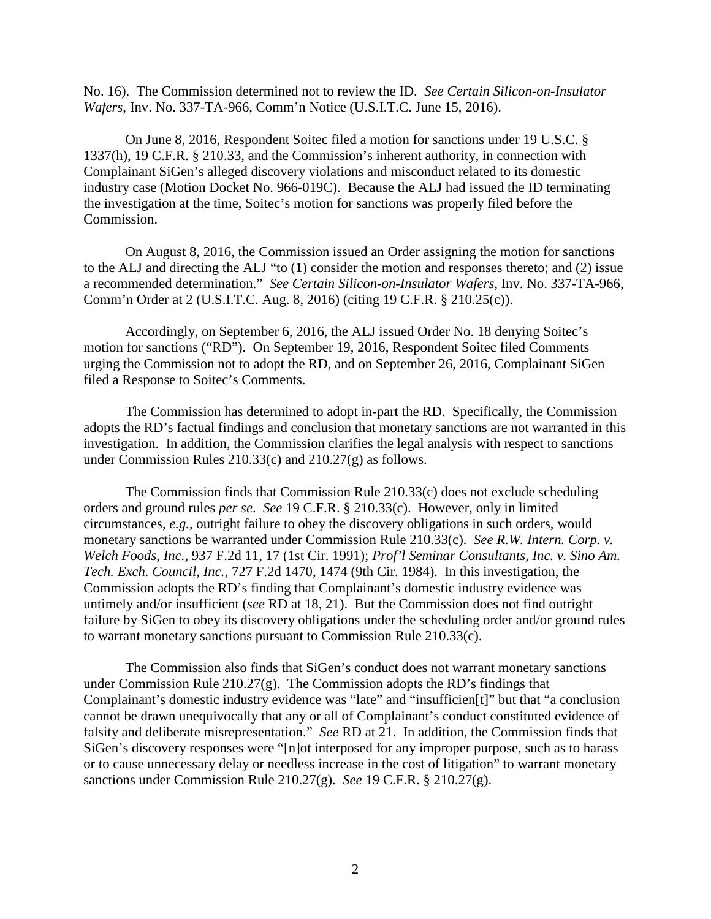No. 16). The Commission determined not to review the ID. *See Certain Silicon-on-Insulator Wafers*, Inv. No. 337-TA-966, Comm'n Notice (U.S.I.T.C. June 15, 2016).

On June 8, 2016, Respondent Soitec filed a motion for sanctions under 19 U.S.C. § 1337(h), 19 C.F.R. § 210.33, and the Commission's inherent authority, in connection with Complainant SiGen's alleged discovery violations and misconduct related to its domestic industry case (Motion Docket No. 966-019C). Because the ALJ had issued the ID terminating the investigation at the time, Soitec's motion for sanctions was properly filed before the Commission.

On August 8, 2016, the Commission issued an Order assigning the motion for sanctions to the ALJ and directing the ALJ "to (1) consider the motion and responses thereto; and (2) issue a recommended determination." *See Certain Silicon-on-Insulator Wafers*, Inv. No. 337-TA-966, Comm'n Order at 2 (U.S.I.T.C. Aug. 8, 2016) (citing 19 C.F.R. § 210.25(c)).

Accordingly, on September 6, 2016, the ALJ issued Order No. 18 denying Soitec's motion for sanctions ("RD"). On September 19, 2016, Respondent Soitec filed Comments urging the Commission not to adopt the RD, and on September 26, 2016, Complainant SiGen filed a Response to Soitec's Comments.

The Commission has determined to adopt in-part the RD. Specifically, the Commission adopts the RD's factual findings and conclusion that monetary sanctions are not warranted in this investigation. In addition, the Commission clarifies the legal analysis with respect to sanctions under Commission Rules 210.33(c) and 210.27(g) as follows.

The Commission finds that Commission Rule 210.33(c) does not exclude scheduling orders and ground rules *per se*. *See* 19 C.F.R. § 210.33(c). However, only in limited circumstances, *e.g.*, outright failure to obey the discovery obligations in such orders, would monetary sanctions be warranted under Commission Rule 210.33(c). *See R.W. Intern. Corp. v. Welch Foods, Inc.*, 937 F.2d 11, 17 (1st Cir. 1991); *Prof'l Seminar Consultants, Inc. v. Sino Am. Tech. Exch. Council, Inc.*, 727 F.2d 1470, 1474 (9th Cir. 1984). In this investigation, the Commission adopts the RD's finding that Complainant's domestic industry evidence was untimely and/or insufficient (*see* RD at 18, 21). But the Commission does not find outright failure by SiGen to obey its discovery obligations under the scheduling order and/or ground rules to warrant monetary sanctions pursuant to Commission Rule 210.33(c).

The Commission also finds that SiGen's conduct does not warrant monetary sanctions under Commission Rule  $210.27(g)$ . The Commission adopts the RD's findings that Complainant's domestic industry evidence was "late" and "insufficien[t]" but that "a conclusion cannot be drawn unequivocally that any or all of Complainant's conduct constituted evidence of falsity and deliberate misrepresentation." *See* RD at 21. In addition, the Commission finds that SiGen's discovery responses were "[n]ot interposed for any improper purpose, such as to harass or to cause unnecessary delay or needless increase in the cost of litigation" to warrant monetary sanctions under Commission Rule 210.27(g). *See* 19 C.F.R. § 210.27(g).